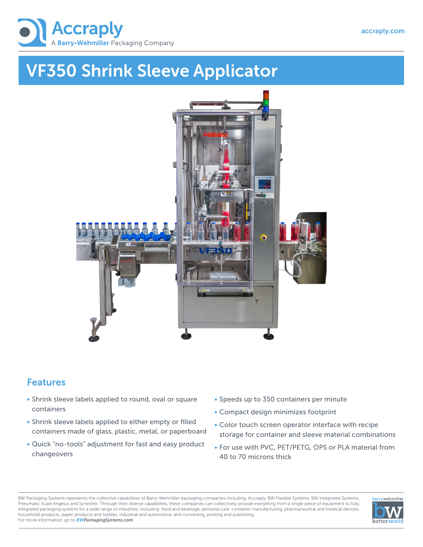

## VF350 Shrink Sleeve Applicator



## Features

- Shrink sleeve labels applied to round, oval or square containers
- Shrink sleeve labels applied to either empty or filled containers made of glass, plastic, metal, or paperboard
- Quick "no-tools" adjustment for fast and easy product changeovers
- Speeds up to 350 containers per minute
- Compact design minimizes footprint
- Color touch screen operator interface with recipe storage for container and sleeve material combinations
- For use with PVC, PET/PETG, OPS or PLA material from 40 to 70 microns thick

BW Packaging Systems represents the collective capabilities of Barry-Wehmiller packaging companies including, Accraply, BW Flexible Systems, BW Integrated Systems, Pneumatic Scale Angelus and Synerlink. Through their diverse capabilities, these companies can collectively provide everything from a single piece of equipment to fully integrated packaging systems for a wide range of industries, including: food and beverage, personal care, container manufacturing, pharmaceutical and medical devices, household products, paper products and textiles, industrial and automotive, and converting, printing and publishing. For more information, go to *BWPackagingSystems.com*